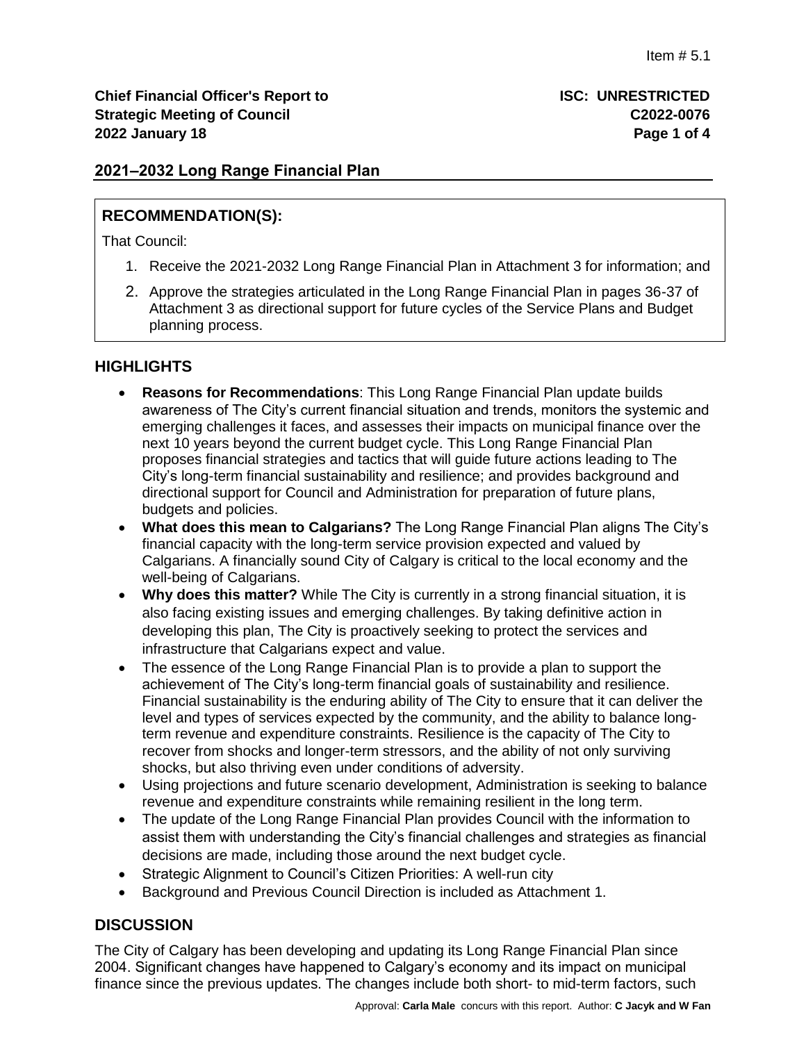## **2021–2032 Long Range Financial Plan**

# **RECOMMENDATION(S):**

That Council:

- 1. Receive the 2021-2032 Long Range Financial Plan in Attachment 3 for information; and
- 2. Approve the strategies articulated in the Long Range Financial Plan in pages 36-37 of Attachment 3 as directional support for future cycles of the Service Plans and Budget planning process.

# **HIGHLIGHTS**

- **Reasons for Recommendations**: This Long Range Financial Plan update builds awareness of The City's current financial situation and trends, monitors the systemic and emerging challenges it faces, and assesses their impacts on municipal finance over the next 10 years beyond the current budget cycle. This Long Range Financial Plan proposes financial strategies and tactics that will guide future actions leading to The City's long-term financial sustainability and resilience; and provides background and directional support for Council and Administration for preparation of future plans, budgets and policies.
- **What does this mean to Calgarians?** The Long Range Financial Plan aligns The City's financial capacity with the long-term service provision expected and valued by Calgarians. A financially sound City of Calgary is critical to the local economy and the well-being of Calgarians.
- **Why does this matter?** While The City is currently in a strong financial situation, it is also facing existing issues and emerging challenges. By taking definitive action in developing this plan, The City is proactively seeking to protect the services and infrastructure that Calgarians expect and value.
- The essence of the Long Range Financial Plan is to provide a plan to support the achievement of The City's long-term financial goals of sustainability and resilience. Financial sustainability is the enduring ability of The City to ensure that it can deliver the level and types of services expected by the community, and the ability to balance longterm revenue and expenditure constraints. Resilience is the capacity of The City to recover from shocks and longer-term stressors, and the ability of not only surviving shocks, but also thriving even under conditions of adversity.
- Using projections and future scenario development, Administration is seeking to balance revenue and expenditure constraints while remaining resilient in the long term.
- The update of the Long Range Financial Plan provides Council with the information to assist them with understanding the City's financial challenges and strategies as financial decisions are made, including those around the next budget cycle.
- Strategic Alignment to Council's Citizen Priorities: A well-run city
- Background and Previous Council Direction is included as Attachment 1.

## **DISCUSSION**

The City of Calgary has been developing and updating its Long Range Financial Plan since 2004. Significant changes have happened to Calgary's economy and its impact on municipal finance since the previous updates. The changes include both short- to mid-term factors, such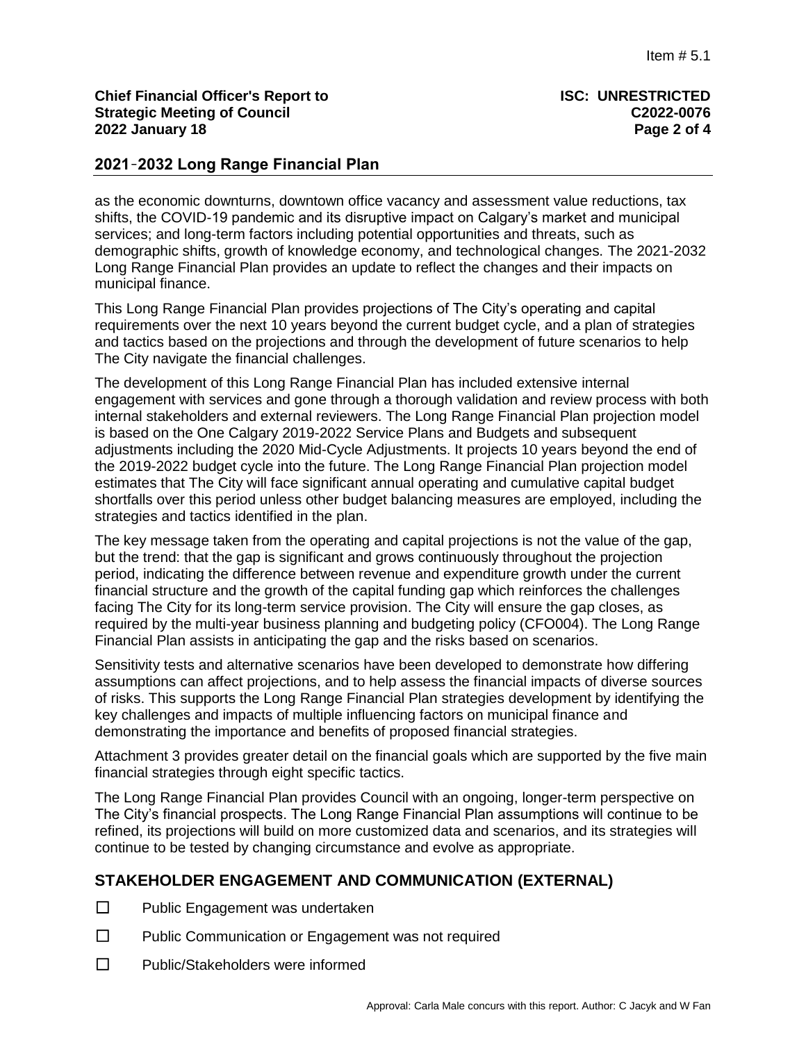### **Chief Financial Officer's Report to ISC: UNRESTRICTED Strategic Meeting of Council 2022 January 18 Page 2 of 4**

### **2021**–**2032 Long Range Financial Plan**

as the economic downturns, downtown office vacancy and assessment value reductions, tax shifts, the COVID-19 pandemic and its disruptive impact on Calgary's market and municipal services; and long-term factors including potential opportunities and threats, such as demographic shifts, growth of knowledge economy, and technological changes. The 2021-2032 Long Range Financial Plan provides an update to reflect the changes and their impacts on municipal finance.

This Long Range Financial Plan provides projections of The City's operating and capital requirements over the next 10 years beyond the current budget cycle, and a plan of strategies and tactics based on the projections and through the development of future scenarios to help The City navigate the financial challenges.

The development of this Long Range Financial Plan has included extensive internal engagement with services and gone through a thorough validation and review process with both internal stakeholders and external reviewers. The Long Range Financial Plan projection model is based on the One Calgary 2019-2022 Service Plans and Budgets and subsequent adjustments including the 2020 Mid-Cycle Adjustments. It projects 10 years beyond the end of the 2019-2022 budget cycle into the future. The Long Range Financial Plan projection model estimates that The City will face significant annual operating and cumulative capital budget shortfalls over this period unless other budget balancing measures are employed, including the strategies and tactics identified in the plan.

The key message taken from the operating and capital projections is not the value of the gap, but the trend: that the gap is significant and grows continuously throughout the projection period, indicating the difference between revenue and expenditure growth under the current financial structure and the growth of the capital funding gap which reinforces the challenges facing The City for its long-term service provision. The City will ensure the gap closes, as required by the multi-year business planning and budgeting policy (CFO004). The Long Range Financial Plan assists in anticipating the gap and the risks based on scenarios.

Sensitivity tests and alternative scenarios have been developed to demonstrate how differing assumptions can affect projections, and to help assess the financial impacts of diverse sources of risks. This supports the Long Range Financial Plan strategies development by identifying the key challenges and impacts of multiple influencing factors on municipal finance and demonstrating the importance and benefits of proposed financial strategies.

Attachment 3 provides greater detail on the financial goals which are supported by the five main financial strategies through eight specific tactics.

The Long Range Financial Plan provides Council with an ongoing, longer-term perspective on The City's financial prospects. The Long Range Financial Plan assumptions will continue to be refined, its projections will build on more customized data and scenarios, and its strategies will continue to be tested by changing circumstance and evolve as appropriate.

## **STAKEHOLDER ENGAGEMENT AND COMMUNICATION (EXTERNAL)**

- ☐ Public Engagement was undertaken
- ☐ Public Communication or Engagement was not required
- ☐ Public/Stakeholders were informed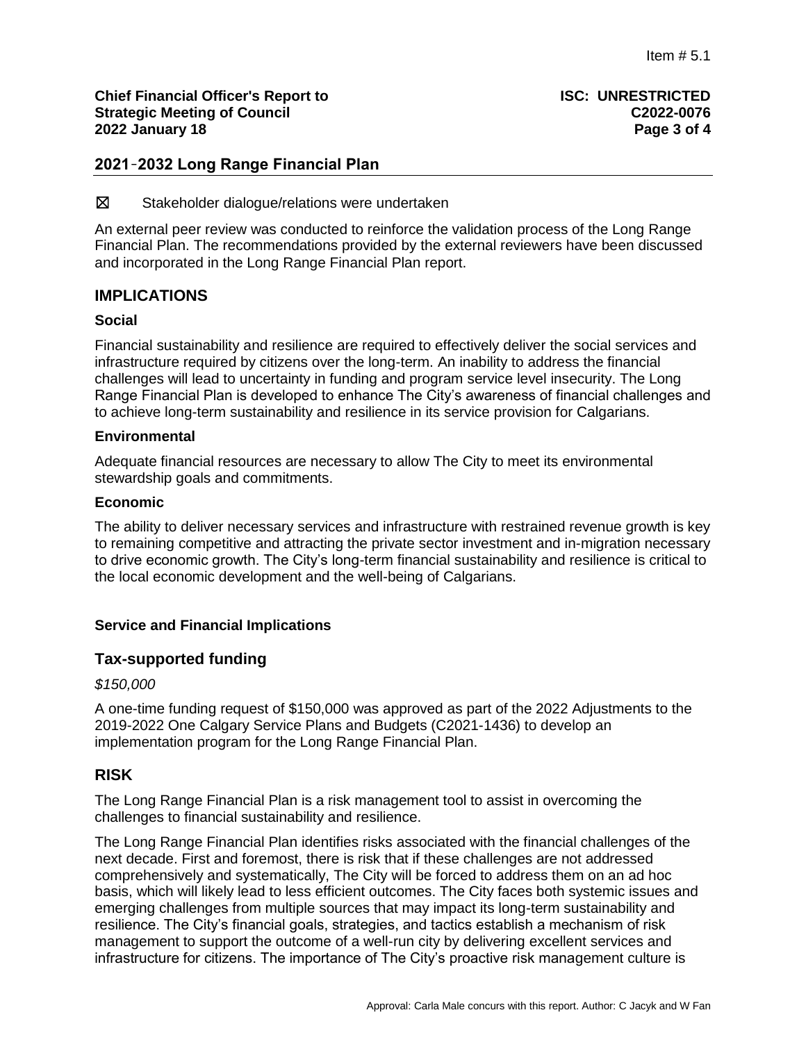**Chief Financial Officer's Report to ISC: UNRESTRICTED Strategic Meeting of Council C2022-0076 2022 January 18 Page 3 of 4**

## **2021**–**2032 Long Range Financial Plan**

☒ Stakeholder dialogue/relations were undertaken

An external peer review was conducted to reinforce the validation process of the Long Range Financial Plan. The recommendations provided by the external reviewers have been discussed and incorporated in the Long Range Financial Plan report.

## **IMPLICATIONS**

### **Social**

Financial sustainability and resilience are required to effectively deliver the social services and infrastructure required by citizens over the long-term. An inability to address the financial challenges will lead to uncertainty in funding and program service level insecurity. The Long Range Financial Plan is developed to enhance The City's awareness of financial challenges and to achieve long-term sustainability and resilience in its service provision for Calgarians.

#### **Environmental**

Adequate financial resources are necessary to allow The City to meet its environmental stewardship goals and commitments.

#### **Economic**

The ability to deliver necessary services and infrastructure with restrained revenue growth is key to remaining competitive and attracting the private sector investment and in-migration necessary to drive economic growth. The City's long-term financial sustainability and resilience is critical to the local economic development and the well-being of Calgarians.

#### **Service and Financial Implications**

## **Tax-supported funding**

#### *\$150,000*

A one-time funding request of \$150,000 was approved as part of the 2022 Adjustments to the 2019-2022 One Calgary Service Plans and Budgets (C2021-1436) to develop an implementation program for the Long Range Financial Plan.

## **RISK**

The Long Range Financial Plan is a risk management tool to assist in overcoming the challenges to financial sustainability and resilience.

The Long Range Financial Plan identifies risks associated with the financial challenges of the next decade. First and foremost, there is risk that if these challenges are not addressed comprehensively and systematically, The City will be forced to address them on an ad hoc basis, which will likely lead to less efficient outcomes. The City faces both systemic issues and emerging challenges from multiple sources that may impact its long-term sustainability and resilience. The City's financial goals, strategies, and tactics establish a mechanism of risk management to support the outcome of a well-run city by delivering excellent services and infrastructure for citizens. The importance of The City's proactive risk management culture is